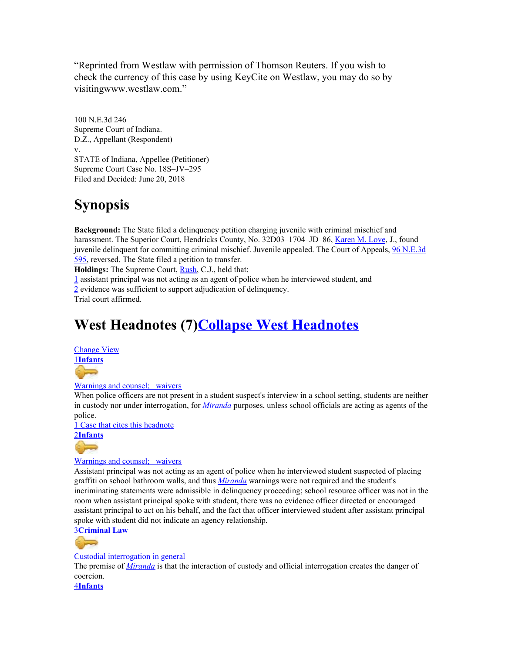"Reprinted from Westlaw with permission of Thomson Reuters. If you wish to check the currency of this case by using KeyCite on Westlaw, you may do so by visitingwww.westlaw.com."

100 N.E.3d 246 Supreme Court of Indiana. D.Z., Appellant (Respondent) v. STATE of Indiana, Appellee (Petitioner) Supreme Court Case No. 18S–JV–295 Filed and Decided: June 20, 2018

## **Synopsis**

**Background:** The State filed a delinquency petition charging juvenile with criminal mischief and harassment. The Superior Court, Hendricks County, No. 32D03-1704-JD-86, [Karen](https://1.next.westlaw.com/Link/Document/FullText?findType=h&pubNum=176284&cite=0331162701&originatingDoc=I43984d1074fe11e8b29df1bcacd7c41c&refType=RQ&originationContext=document&transitionType=DocumentItem&contextData=(sc.Default)) M. Love, J., found juvenile delinquent for committing criminal mischief. Juvenile appealed. The Court of Appeals, 96 [N.E.3d](https://1.next.westlaw.com/Link/Document/FullText?findType=Y&serNum=2043870418&pubNum=0007902&originatingDoc=I43984d1074fe11e8b29df1bcacd7c41c&refType=RP&originationContext=document&transitionType=DocumentItem&contextData=(sc.Default)) [595,](https://1.next.westlaw.com/Link/Document/FullText?findType=Y&serNum=2043870418&pubNum=0007902&originatingDoc=I43984d1074fe11e8b29df1bcacd7c41c&refType=RP&originationContext=document&transitionType=DocumentItem&contextData=(sc.Default)) reversed. The State filed a petition to transfer.

**Holdings:** The Supreme Court, [Rush](https://1.next.westlaw.com/Link/Document/FullText?findType=h&pubNum=176284&cite=0331179501&originatingDoc=I43984d1074fe11e8b29df1bcacd7c41c&refType=RQ&originationContext=document&transitionType=DocumentItem&contextData=(sc.Default)), C.J., held that:

[1](https://1.next.westlaw.com/Document/I43984d1074fe11e8b29df1bcacd7c41c/View/FullText.html?listSource=RelatedInfo&transitionType=Default&contextData=(sc.Default)#co_anchor_F22044772377) assistant principal was not acting as an agent of police when he interviewed student, and [2](https://1.next.westlaw.com/Document/I43984d1074fe11e8b29df1bcacd7c41c/View/FullText.html?listSource=RelatedInfo&transitionType=Default&contextData=(sc.Default)#co_anchor_F62044772377) evidence was sufficient to support adjudication of delinquency. Trial court affirmed.

# **West Headnotes (7)Collapse West Headnotes**

Change View

[1](https://1.next.westlaw.com/Document/I43984d1074fe11e8b29df1bcacd7c41c/View/FullText.html?listSource=RelatedInfo&transitionType=Default&contextData=(sc.Default)#co_anchor_B12044772377)**[Infants](https://1.next.westlaw.com/Browse/Home/KeyNumber/211/View.html?docGuid=I43984d1074fe11e8b29df1bcacd7c41c&originationContext=document&transitionType=DocumentItem&contextData=(sc.Default))**

 $\overline{a}$ 

### [Warnings](https://1.next.westlaw.com/Browse/Home/KeyNumber/211k2625(15)/View.html?docGuid=I43984d1074fe11e8b29df1bcacd7c41c&originationContext=document&transitionType=DocumentItem&contextData=(sc.Default)) and counsel; waivers

When police officers are not present in a student suspect's interview in a school setting, students are neither in custody nor under interrogation, for *[Miranda](https://1.next.westlaw.com/Link/Document/FullText?findType=Y&serNum=1966131580&pubNum=0000708&originatingDoc=I43984d1074fe11e8b29df1bcacd7c41c&refType=RP&originationContext=document&transitionType=DocumentItem&contextData=(sc.Default))* purposes, unless school officials are acting as agents of the police.

1 Case that cites this [headnote](https://1.next.westlaw.com/Link/RelatedInformation/DocHeadnoteLink?docGuid=I43984d1074fe11e8b29df1bcacd7c41c&headnoteId=204477237700120181018122846&originationContext=document&transitionType=CitingReferences&contextData=(sc.Default))

[2](https://1.next.westlaw.com/Document/I43984d1074fe11e8b29df1bcacd7c41c/View/FullText.html?listSource=RelatedInfo&transitionType=Default&contextData=(sc.Default)#co_anchor_B22044772377)**[Infants](https://1.next.westlaw.com/Browse/Home/KeyNumber/211/View.html?docGuid=I43984d1074fe11e8b29df1bcacd7c41c&originationContext=document&transitionType=DocumentItem&contextData=(sc.Default))**

### [Warnings](https://1.next.westlaw.com/Browse/Home/KeyNumber/211k2625(15)/View.html?docGuid=I43984d1074fe11e8b29df1bcacd7c41c&originationContext=document&transitionType=DocumentItem&contextData=(sc.Default)) and counsel; waivers

Assistant principal was not acting as an agent of police when he interviewed student suspected of placing graffiti on school bathroom walls, and thus *[Miranda](https://1.next.westlaw.com/Link/Document/FullText?findType=Y&serNum=1966131580&pubNum=0000708&originatingDoc=I43984d1074fe11e8b29df1bcacd7c41c&refType=RP&originationContext=document&transitionType=DocumentItem&contextData=(sc.Default))* warnings were not required and the student's incriminating statements were admissible in delinquency proceeding; school resource officer was not in the room when assistant principal spoke with student, there was no evidence officer directed or encouraged assistant principal to act on his behalf, and the fact that officer interviewed student after assistant principal spoke with student did not indicate an agency relationship.

[3](https://1.next.westlaw.com/Document/I43984d1074fe11e8b29df1bcacd7c41c/View/FullText.html?listSource=RelatedInfo&transitionType=Default&contextData=(sc.Default)#co_anchor_B32044772377)**[Criminal](https://1.next.westlaw.com/Browse/Home/KeyNumber/110/View.html?docGuid=I43984d1074fe11e8b29df1bcacd7c41c&originationContext=document&transitionType=DocumentItem&contextData=(sc.Default)) Law**

G E

### Custodial [interrogation](https://1.next.westlaw.com/Browse/Home/KeyNumber/110k411.4/View.html?docGuid=I43984d1074fe11e8b29df1bcacd7c41c&originationContext=document&transitionType=DocumentItem&contextData=(sc.Default)) in general

The premise of *[Miranda](https://1.next.westlaw.com/Link/Document/FullText?findType=Y&serNum=1966131580&pubNum=0000708&originatingDoc=I43984d1074fe11e8b29df1bcacd7c41c&refType=RP&originationContext=document&transitionType=DocumentItem&contextData=(sc.Default))* is that the interaction of custody and official interrogation creates the danger of coercion.

[4](https://1.next.westlaw.com/Document/I43984d1074fe11e8b29df1bcacd7c41c/View/FullText.html?listSource=RelatedInfo&transitionType=Default&contextData=(sc.Default)#co_anchor_B42044772377)**[Infants](https://1.next.westlaw.com/Browse/Home/KeyNumber/211/View.html?docGuid=I43984d1074fe11e8b29df1bcacd7c41c&originationContext=document&transitionType=DocumentItem&contextData=(sc.Default))**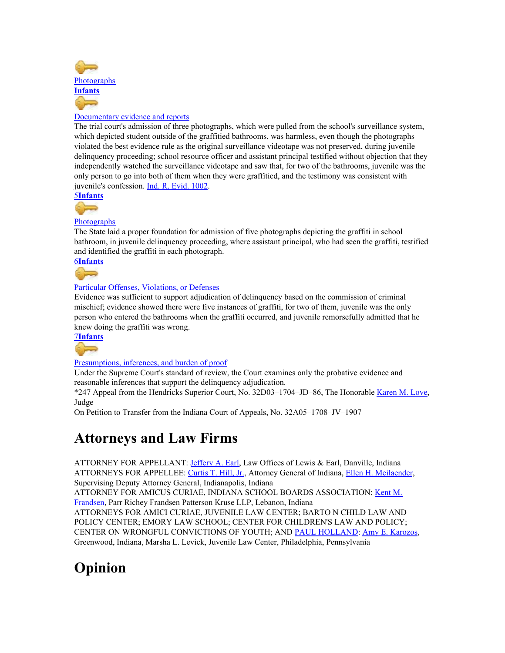

### [Documentary](https://1.next.westlaw.com/Browse/Home/KeyNumber/211k2935/View.html?docGuid=I43984d1074fe11e8b29df1bcacd7c41c&originationContext=document&transitionType=DocumentItem&contextData=(sc.Default)) evidence and reports

The trial court's admission of three photographs, which were pulled from the school's surveillance system, which depicted student outside of the graffitied bathrooms, was harmless, even though the photographs violated the best evidence rule as the original surveillance videotape was not preserved, during juvenile delinquency proceeding; school resource officer and assistant principal testified without objection that they independently watched the surveillance videotape and saw that, for two of the bathrooms, juvenile was the only person to go into both of them when they were graffitied, and the testimony was consistent with juvenile's confession. Ind. R. [Evid.](https://1.next.westlaw.com/Link/Document/FullText?findType=L&pubNum=1007004&cite=INSREVR1002&originatingDoc=I43984d1074fe11e8b29df1bcacd7c41c&refType=LQ&originationContext=document&transitionType=DocumentItem&contextData=(sc.Default)) 1002.

[5](https://1.next.westlaw.com/Document/I43984d1074fe11e8b29df1bcacd7c41c/View/FullText.html?listSource=RelatedInfo&transitionType=Default&contextData=(sc.Default)#co_anchor_B52044772377)**[Infants](https://1.next.westlaw.com/Browse/Home/KeyNumber/211/View.html?docGuid=I43984d1074fe11e8b29df1bcacd7c41c&originationContext=document&transitionType=DocumentItem&contextData=(sc.Default))**



### **[Photographs](https://1.next.westlaw.com/Browse/Home/KeyNumber/211k2626(10)/View.html?docGuid=I43984d1074fe11e8b29df1bcacd7c41c&originationContext=document&transitionType=DocumentItem&contextData=(sc.Default))**

The State laid a proper foundation for admission of five photographs depicting the graffiti in school bathroom, in juvenile delinquency proceeding, where assistant principal, who had seen the graffiti, testified and identified the graffiti in each photograph.

[6](https://1.next.westlaw.com/Document/I43984d1074fe11e8b29df1bcacd7c41c/View/FullText.html?listSource=RelatedInfo&transitionType=Default&contextData=(sc.Default)#co_anchor_B62044772377)**[Infants](https://1.next.westlaw.com/Browse/Home/KeyNumber/211/View.html?docGuid=I43984d1074fe11e8b29df1bcacd7c41c&originationContext=document&transitionType=DocumentItem&contextData=(sc.Default))**



### Particular Offenses, [Violations,](https://1.next.westlaw.com/Browse/Home/KeyNumber/211k2640/View.html?docGuid=I43984d1074fe11e8b29df1bcacd7c41c&originationContext=document&transitionType=DocumentItem&contextData=(sc.Default)) or Defenses

Evidence was sufficient to support adjudication of delinquency based on the commission of criminal mischief; evidence showed there were five instances of graffiti, for two of them, juvenile was the only person who entered the bathrooms when the graffiti occurred, and juvenile remorsefully admitted that he knew doing the graffiti was wrong.

[7](https://1.next.westlaw.com/Document/I43984d1074fe11e8b29df1bcacd7c41c/View/FullText.html?listSource=RelatedInfo&transitionType=Default&contextData=(sc.Default)#co_anchor_B72044772377)**[Infants](https://1.next.westlaw.com/Browse/Home/KeyNumber/211/View.html?docGuid=I43984d1074fe11e8b29df1bcacd7c41c&originationContext=document&transitionType=DocumentItem&contextData=(sc.Default))**

G F

### [Presumptions,](https://1.next.westlaw.com/Browse/Home/KeyNumber/211k2910/View.html?docGuid=I43984d1074fe11e8b29df1bcacd7c41c&originationContext=document&transitionType=DocumentItem&contextData=(sc.Default)) inferences, and burden of proof

Under the Supreme Court's standard of review, the Court examines only the probative evidence and reasonable inferences that support the delinquency adjudication.

\*247 Appeal from the Hendricks Superior Court, No. 32D03–1704–JD–86, The Honorable [Karen](https://1.next.westlaw.com/Link/Document/FullText?findType=h&pubNum=176284&cite=0331162701&originatingDoc=I43984d1074fe11e8b29df1bcacd7c41c&refType=RQ&originationContext=document&transitionType=DocumentItem&contextData=(sc.Default)) M. Love, Judge

On Petition to Transfer from the Indiana Court of Appeals, No. 32A05–1708–JV–1907

### **Attorneys and Law Firms**

ATTORNEY FOR APPELLANT: *[Jeffery](https://1.next.westlaw.com/Link/Document/FullText?findType=h&pubNum=176284&cite=0498707399&originatingDoc=I43984d1074fe11e8b29df1bcacd7c41c&refType=RQ&originationContext=document&transitionType=DocumentItem&contextData=(sc.Default)) A. Earl*, Law Offices of Lewis & Earl, Danville, Indiana ATTORNEYS FOR APPELLEE: [Curtis](https://1.next.westlaw.com/Link/Document/FullText?findType=h&pubNum=176284&cite=0283204401&originatingDoc=I43984d1074fe11e8b29df1bcacd7c41c&refType=RQ&originationContext=document&transitionType=DocumentItem&contextData=(sc.Default)) T. Hill, Jr., Attorney General of Indiana, Ellen H. [Meilaender](https://1.next.westlaw.com/Link/Document/FullText?findType=h&pubNum=176284&cite=0464291601&originatingDoc=I43984d1074fe11e8b29df1bcacd7c41c&refType=RQ&originationContext=document&transitionType=DocumentItem&contextData=(sc.Default)), Supervising Deputy Attorney General, Indianapolis, Indiana

ATTORNEY FOR AMICUS CURIAE, INDIANA SCHOOL BOARDS ASSOCIATION: [Kent](https://1.next.westlaw.com/Link/Document/FullText?findType=h&pubNum=176284&cite=0243115001&originatingDoc=I43984d1074fe11e8b29df1bcacd7c41c&refType=RQ&originationContext=document&transitionType=DocumentItem&contextData=(sc.Default)) M. [Frandsen,](https://1.next.westlaw.com/Link/Document/FullText?findType=h&pubNum=176284&cite=0243115001&originatingDoc=I43984d1074fe11e8b29df1bcacd7c41c&refType=RQ&originationContext=document&transitionType=DocumentItem&contextData=(sc.Default)) Parr Richey Frandsen Patterson Kruse LLP, Lebanon, Indiana

ATTORNEYS FOR AMICI CURIAE, JUVENILE LAW CENTER; BARTO N CHILD LAW AND POLICY CENTER; EMORY LAW SCHOOL; CENTER FOR CHILDREN'S LAW AND POLICY; CENTER ON WRONGFUL CONVICTIONS OF YOUTH; AND PAUL [HOLLAND](https://1.next.westlaw.com/Link/Document/FullText?findType=h&pubNum=176284&cite=0436103301&originatingDoc=I43984d1074fe11e8b29df1bcacd7c41c&refType=RQ&originationContext=document&transitionType=DocumentItem&contextData=(sc.Default)): Amy E. [Karozos](https://1.next.westlaw.com/Link/Document/FullText?findType=h&pubNum=176284&cite=0285623601&originatingDoc=I43984d1074fe11e8b29df1bcacd7c41c&refType=RQ&originationContext=document&transitionType=DocumentItem&contextData=(sc.Default)), Greenwood, Indiana, Marsha L. Levick, Juvenile Law Center, Philadelphia, Pennsylvania

# **Opinion**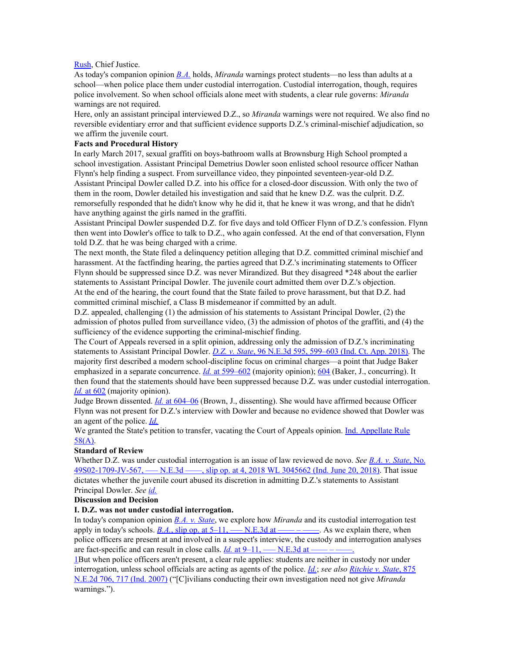#### [Rush](https://1.next.westlaw.com/Link/Document/FullText?findType=h&pubNum=176284&cite=0331179501&originatingDoc=I43984d1074fe11e8b29df1bcacd7c41c&refType=RQ&originationContext=document&transitionType=DocumentItem&contextData=(sc.Default)), Chief Justice.

As today's companion opinion *[B.A.](https://1.next.westlaw.com/Link/Document/FullText?findType=Y&serNum=2044772010&pubNum=0004031&originatingDoc=I43984d1074fe11e8b29df1bcacd7c41c&refType=RP&originationContext=document&transitionType=DocumentItem&contextData=(sc.Default))* holds, *Miranda* warnings protect students—no less than adults at a school—when police place them under custodial interrogation. Custodial interrogation, though, requires police involvement. So when school officials alone meet with students, a clear rule governs: *Miranda* warnings are not required.

Here, only an assistant principal interviewed D.Z., so *Miranda* warnings were not required. We also find no reversible evidentiary error and that sufficient evidence supports D.Z.'s criminal-mischief adjudication, so we affirm the juvenile court.

### **Facts and Procedural History**

In early March 2017, sexual graffiti on boys-bathroom walls at Brownsburg High School prompted a school investigation. Assistant Principal Demetrius Dowler soon enlisted school resource officer Nathan Flynn's help finding a suspect. From surveillance video, they pinpointed seventeen-year-old D.Z. Assistant Principal Dowler called D.Z. into his office for a closed-door discussion. With only the two of them in the room, Dowler detailed his investigation and said that he knew D.Z. was the culprit. D.Z. remorsefully responded that he didn't know why he did it, that he knew it was wrong, and that he didn't have anything against the girls named in the graffiti.

Assistant Principal Dowler suspended D.Z. for five days and told Officer Flynn of D.Z.'s confession. Flynn then went into Dowler's office to talk to D.Z., who again confessed. At the end of that conversation, Flynn told D.Z. that he was being charged with a crime.

The next month, the State filed a delinquency petition alleging that D.Z. committed criminal mischief and harassment. At the factfinding hearing, the parties agreed that D.Z.'s incriminating statements to Officer Flynn should be suppressed since D.Z. was never Mirandized. But they disagreed \*248 about the earlier statements to Assistant Principal Dowler. The juvenile court admitted them over D.Z.'s objection. At the end of the hearing, the court found that the State failed to prove harassment, but that D.Z. had committed criminal mischief, a Class B misdemeanor if committed by an adult.

D.Z. appealed, challenging (1) the admission of his statements to Assistant Principal Dowler, (2) the admission of photos pulled from surveillance video, (3) the admission of photos of the graffiti, and (4) the sufficiency of the evidence supporting the criminal-mischief finding.

The Court of Appeals reversed in a split opinion, addressing only the admission of D.Z.'s incriminating statements to Assistant Principal Dowler. *D.Z. v. [State](https://1.next.westlaw.com/Link/Document/FullText?findType=Y&serNum=2043870418&pubNum=0007902&originatingDoc=I43984d1074fe11e8b29df1bcacd7c41c&refType=RP&fi=co_pp_sp_7902_599&originationContext=document&transitionType=DocumentItem&contextData=(sc.Default)#co_pp_sp_7902_599)*, 96 N.E.3d 595, [599–603](https://1.next.westlaw.com/Link/Document/FullText?findType=Y&serNum=2043870418&pubNum=0007902&originatingDoc=I43984d1074fe11e8b29df1bcacd7c41c&refType=RP&fi=co_pp_sp_7902_599&originationContext=document&transitionType=DocumentItem&contextData=(sc.Default)#co_pp_sp_7902_599) (Ind. Ct. App. 2018). The majority first described a modern school-discipline focus on criminal charges—a point that Judge Baker emphasized in a separate concurrence. *[Id.](https://1.next.westlaw.com/Link/Document/FullText?findType=Y&serNum=2043870418&pubNum=0007902&originatingDoc=I43984d1074fe11e8b29df1bcacd7c41c&refType=RP&fi=co_pp_sp_7902_599&originationContext=document&transitionType=DocumentItem&contextData=(sc.Default)#co_pp_sp_7902_599)* at [599–602](https://1.next.westlaw.com/Link/Document/FullText?findType=Y&serNum=2043870418&pubNum=0007902&originatingDoc=I43984d1074fe11e8b29df1bcacd7c41c&refType=RP&fi=co_pp_sp_7902_599&originationContext=document&transitionType=DocumentItem&contextData=(sc.Default)#co_pp_sp_7902_599) (majority opinion); [604](https://1.next.westlaw.com/Link/Document/FullText?findType=Y&serNum=2043870418&originatingDoc=I43984d1074fe11e8b29df1bcacd7c41c&refType=RP&originationContext=document&transitionType=DocumentItem&contextData=(sc.Default)) (Baker, J., concurring). It then found that the statements should have been suppressed because D.Z. was under custodial interrogation. *[Id.](https://1.next.westlaw.com/Link/Document/FullText?findType=Y&serNum=2043870418&pubNum=0007902&originatingDoc=I43984d1074fe11e8b29df1bcacd7c41c&refType=RP&fi=co_pp_sp_7902_602&originationContext=document&transitionType=DocumentItem&contextData=(sc.Default)#co_pp_sp_7902_602)* at [602](https://1.next.westlaw.com/Link/Document/FullText?findType=Y&serNum=2043870418&pubNum=0007902&originatingDoc=I43984d1074fe11e8b29df1bcacd7c41c&refType=RP&fi=co_pp_sp_7902_602&originationContext=document&transitionType=DocumentItem&contextData=(sc.Default)#co_pp_sp_7902_602) (majority opinion).

Judge Brown dissented. *[Id.](https://1.next.westlaw.com/Link/Document/FullText?findType=Y&serNum=2043870418&pubNum=0007902&originatingDoc=I43984d1074fe11e8b29df1bcacd7c41c&refType=RP&fi=co_pp_sp_7902_604&originationContext=document&transitionType=DocumentItem&contextData=(sc.Default)#co_pp_sp_7902_604)* at [604–06](https://1.next.westlaw.com/Link/Document/FullText?findType=Y&serNum=2043870418&pubNum=0007902&originatingDoc=I43984d1074fe11e8b29df1bcacd7c41c&refType=RP&fi=co_pp_sp_7902_604&originationContext=document&transitionType=DocumentItem&contextData=(sc.Default)#co_pp_sp_7902_604) (Brown, J., dissenting). She would have affirmed because Officer Flynn was not present for D.Z.'s interview with Dowler and because no evidence showed that Dowler was an agent of the police. *[Id.](https://1.next.westlaw.com/Link/Document/FullText?findType=Y&serNum=2043870418&pubNum=0007902&originatingDoc=I43984d1074fe11e8b29df1bcacd7c41c&refType=RP&originationContext=document&transitionType=DocumentItem&contextData=(sc.Default))*

We granted the State's petition to transfer, vacating the Court of Appeals opinion. Ind. [Appellate](https://1.next.westlaw.com/Link/Document/FullText?findType=L&pubNum=1007025&cite=INSRAPR58&originatingDoc=I43984d1074fe11e8b29df1bcacd7c41c&refType=LQ&originationContext=document&transitionType=DocumentItem&contextData=(sc.Default)) Rule [58\(A\).](https://1.next.westlaw.com/Link/Document/FullText?findType=L&pubNum=1007025&cite=INSRAPR58&originatingDoc=I43984d1074fe11e8b29df1bcacd7c41c&refType=LQ&originationContext=document&transitionType=DocumentItem&contextData=(sc.Default))

### **Standard of Review**

Whether D.Z. was under custodial interrogation is an issue of law reviewed de novo. *See B.A. v. [State](https://1.next.westlaw.com/Link/Document/FullText?findType=Y&serNum=2044772010&pubNum=0000999&originatingDoc=I43984d1074fe11e8b29df1bcacd7c41c&refType=RP&originationContext=document&transitionType=DocumentItem&contextData=(sc.Default))*, [No.](https://1.next.westlaw.com/Link/Document/FullText?findType=Y&serNum=2044772010&pubNum=0000999&originatingDoc=I43984d1074fe11e8b29df1bcacd7c41c&refType=RP&originationContext=document&transitionType=DocumentItem&contextData=(sc.Default)) [49S02-1709-JV-567,](https://1.next.westlaw.com/Link/Document/FullText?findType=Y&serNum=2044772010&pubNum=0000999&originatingDoc=I43984d1074fe11e8b29df1bcacd7c41c&refType=RP&originationContext=document&transitionType=DocumentItem&contextData=(sc.Default)) — N.E.3d — , slip op. at 4, 2018 WL 3045662 (Ind. June 20, 2018). That issue dictates whether the juvenile court abused its discretion in admitting D.Z.'s statements to Assistant Principal Dowler. *See [id.](https://1.next.westlaw.com/Link/Document/FullText?findType=Y&serNum=2044772010&pubNum=0007902&originatingDoc=I43984d1074fe11e8b29df1bcacd7c41c&refType=RP&originationContext=document&transitionType=DocumentItem&contextData=(sc.Default))*

**Discussion and Decision**

### **I. D.Z. was not under custodial interrogation.**

In today's companion opinion *B.A. v. [State](https://1.next.westlaw.com/Link/Document/FullText?findType=Y&serNum=2044772010&pubNum=0004031&originatingDoc=I43984d1074fe11e8b29df1bcacd7c41c&refType=RP&originationContext=document&transitionType=DocumentItem&contextData=(sc.Default))*, we explore how *Miranda* and its custodial interrogation test apply in today's schools.  $B.A.,$  $B.A.,$  slip op. at  $5-11,$  —– [N.E.3d](https://1.next.westlaw.com/Link/Document/FullText?findType=Y&serNum=2044772010&pubNum=0004031&originatingDoc=I43984d1074fe11e8b29df1bcacd7c41c&refType=RP&originationContext=document&transitionType=DocumentItem&contextData=(sc.Default)) at ——–––––. As we explain there, when police officers are present at and involved in a suspect's interview, the custody and interrogation analyses are fact-specific and can result in close calls.  $Id$ . at  $9-11$ , — [N.E.3d](https://1.next.westlaw.com/Link/Document/FullText?findType=Y&serNum=2044772010&originatingDoc=I43984d1074fe11e8b29df1bcacd7c41c&refType=RP&originationContext=document&transitionType=DocumentItem&contextData=(sc.Default)) at —— –

[1B](https://1.next.westlaw.com/Document/I43984d1074fe11e8b29df1bcacd7c41c/View/FullText.html?listSource=RelatedInfo&transitionType=Default&contextData=(sc.Default)#co_anchor_F12044772377)ut when police officers aren't present, a clear rule applies: students are neither in custody nor under interrogation, unless school officials are acting as agents of the police. *[Id.](https://1.next.westlaw.com/Link/Document/FullText?findType=Y&serNum=2044772010&pubNum=0007902&originatingDoc=I43984d1074fe11e8b29df1bcacd7c41c&refType=RP&originationContext=document&transitionType=DocumentItem&contextData=(sc.Default))*; *see also [Ritchie](https://1.next.westlaw.com/Link/Document/FullText?findType=Y&serNum=2013950565&pubNum=0000578&originatingDoc=I43984d1074fe11e8b29df1bcacd7c41c&refType=RP&fi=co_pp_sp_578_717&originationContext=document&transitionType=DocumentItem&contextData=(sc.Default)#co_pp_sp_578_717) v. State*, [875](https://1.next.westlaw.com/Link/Document/FullText?findType=Y&serNum=2013950565&pubNum=0000578&originatingDoc=I43984d1074fe11e8b29df1bcacd7c41c&refType=RP&fi=co_pp_sp_578_717&originationContext=document&transitionType=DocumentItem&contextData=(sc.Default)#co_pp_sp_578_717) [N.E.2d](https://1.next.westlaw.com/Link/Document/FullText?findType=Y&serNum=2013950565&pubNum=0000578&originatingDoc=I43984d1074fe11e8b29df1bcacd7c41c&refType=RP&fi=co_pp_sp_578_717&originationContext=document&transitionType=DocumentItem&contextData=(sc.Default)#co_pp_sp_578_717) 706, 717 (Ind. 2007) ("[C]ivilians conducting their own investigation need not give *Miranda* warnings.").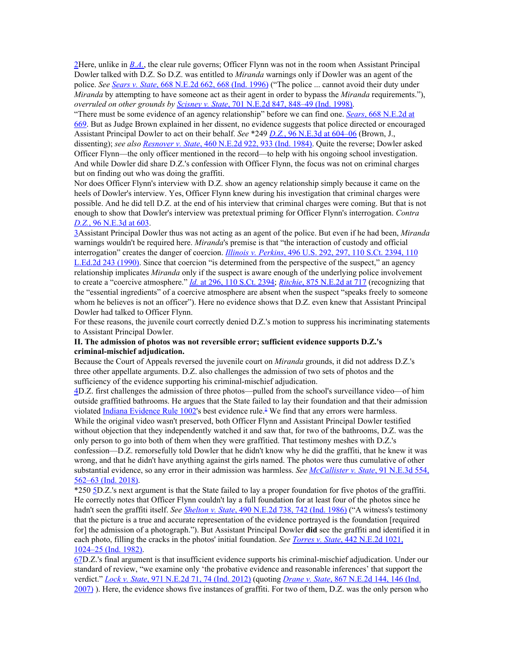[2H](https://1.next.westlaw.com/Document/I43984d1074fe11e8b29df1bcacd7c41c/View/FullText.html?listSource=RelatedInfo&transitionType=Default&contextData=(sc.Default)#co_anchor_F22044772377)ere, unlike in *[B.A.](https://1.next.westlaw.com/Link/Document/FullText?findType=Y&serNum=2044772010&pubNum=0004031&originatingDoc=I43984d1074fe11e8b29df1bcacd7c41c&refType=RP&originationContext=document&transitionType=DocumentItem&contextData=(sc.Default))*, the clear rule governs; Officer Flynn was not in the room when Assistant Principal Dowler talked with D.Z. So D.Z. was entitled to *Miranda* warnings only if Dowler was an agent of the police. *See [Sears](https://1.next.westlaw.com/Link/Document/FullText?findType=Y&serNum=1996154991&pubNum=0000578&originatingDoc=I43984d1074fe11e8b29df1bcacd7c41c&refType=RP&fi=co_pp_sp_578_668&originationContext=document&transitionType=DocumentItem&contextData=(sc.Default)#co_pp_sp_578_668) v. State*, 668 [N.E.2d](https://1.next.westlaw.com/Link/Document/FullText?findType=Y&serNum=1996154991&pubNum=0000578&originatingDoc=I43984d1074fe11e8b29df1bcacd7c41c&refType=RP&fi=co_pp_sp_578_668&originationContext=document&transitionType=DocumentItem&contextData=(sc.Default)#co_pp_sp_578_668) 662, 668 (Ind. 1996) ("The police ... cannot avoid their duty under *Miranda* by attempting to have someone act as their agent in order to bypass the *Miranda* requirements."), *overruled on other grounds by [Scisney](https://1.next.westlaw.com/Link/Document/FullText?findType=Y&serNum=1998226921&pubNum=0000578&originatingDoc=I43984d1074fe11e8b29df1bcacd7c41c&refType=RP&fi=co_pp_sp_578_848&originationContext=document&transitionType=DocumentItem&contextData=(sc.Default)#co_pp_sp_578_848) v. State*, 701 N.E.2d 847, [848–49](https://1.next.westlaw.com/Link/Document/FullText?findType=Y&serNum=1998226921&pubNum=0000578&originatingDoc=I43984d1074fe11e8b29df1bcacd7c41c&refType=RP&fi=co_pp_sp_578_848&originationContext=document&transitionType=DocumentItem&contextData=(sc.Default)#co_pp_sp_578_848) (Ind. 1998).

"There must be some evidence of an agency relationship" before we can find one. *[Sears](https://1.next.westlaw.com/Link/Document/FullText?findType=Y&serNum=1996154991&pubNum=0000578&originatingDoc=I43984d1074fe11e8b29df1bcacd7c41c&refType=RP&fi=co_pp_sp_578_669&originationContext=document&transitionType=DocumentItem&contextData=(sc.Default)#co_pp_sp_578_669)*, 668 [N.E.2d](https://1.next.westlaw.com/Link/Document/FullText?findType=Y&serNum=1996154991&pubNum=0000578&originatingDoc=I43984d1074fe11e8b29df1bcacd7c41c&refType=RP&fi=co_pp_sp_578_669&originationContext=document&transitionType=DocumentItem&contextData=(sc.Default)#co_pp_sp_578_669) at [669.](https://1.next.westlaw.com/Link/Document/FullText?findType=Y&serNum=1996154991&pubNum=0000578&originatingDoc=I43984d1074fe11e8b29df1bcacd7c41c&refType=RP&fi=co_pp_sp_578_669&originationContext=document&transitionType=DocumentItem&contextData=(sc.Default)#co_pp_sp_578_669) But as Judge Brown explained in her dissent, no evidence suggests that police directed or encouraged Assistant Principal Dowler to act on their behalf. *See* \*249 *[D.Z.](https://1.next.westlaw.com/Link/Document/FullText?findType=Y&serNum=2043870418&pubNum=0007902&originatingDoc=I43984d1074fe11e8b29df1bcacd7c41c&refType=RP&fi=co_pp_sp_7902_604&originationContext=document&transitionType=DocumentItem&contextData=(sc.Default)#co_pp_sp_7902_604)*, 96 N.E.3d at [604–06](https://1.next.westlaw.com/Link/Document/FullText?findType=Y&serNum=2043870418&pubNum=0007902&originatingDoc=I43984d1074fe11e8b29df1bcacd7c41c&refType=RP&fi=co_pp_sp_7902_604&originationContext=document&transitionType=DocumentItem&contextData=(sc.Default)#co_pp_sp_7902_604) (Brown, J., dissenting); *see also [Resnover](https://1.next.westlaw.com/Link/Document/FullText?findType=Y&serNum=1984114442&pubNum=0000578&originatingDoc=I43984d1074fe11e8b29df1bcacd7c41c&refType=RP&fi=co_pp_sp_578_933&originationContext=document&transitionType=DocumentItem&contextData=(sc.Default)#co_pp_sp_578_933) v. State*, 460 [N.E.2d](https://1.next.westlaw.com/Link/Document/FullText?findType=Y&serNum=1984114442&pubNum=0000578&originatingDoc=I43984d1074fe11e8b29df1bcacd7c41c&refType=RP&fi=co_pp_sp_578_933&originationContext=document&transitionType=DocumentItem&contextData=(sc.Default)#co_pp_sp_578_933) 922, 933 (Ind. 1984). Quite the reverse; Dowler asked Officer Flynn—the only officer mentioned in the record—to help with his ongoing school investigation. And while Dowler did share D.Z.'s confession with Officer Flynn, the focus was not on criminal charges but on finding out who was doing the graffiti.

Nor does Officer Flynn's interview with D.Z. show an agency relationship simply because it came on the heels of Dowler's interview. Yes, Officer Flynn knew during his investigation that criminal charges were possible. And he did tell D.Z. at the end of his interview that criminal charges were coming. But that is not enough to show that Dowler's interview was pretextual priming for Officer Flynn's interrogation. *Contra [D.Z.](https://1.next.westlaw.com/Link/Document/FullText?findType=Y&serNum=2043870418&pubNum=0007902&originatingDoc=I43984d1074fe11e8b29df1bcacd7c41c&refType=RP&fi=co_pp_sp_7902_603&originationContext=document&transitionType=DocumentItem&contextData=(sc.Default)#co_pp_sp_7902_603)*, 96 [N.E.3d](https://1.next.westlaw.com/Link/Document/FullText?findType=Y&serNum=2043870418&pubNum=0007902&originatingDoc=I43984d1074fe11e8b29df1bcacd7c41c&refType=RP&fi=co_pp_sp_7902_603&originationContext=document&transitionType=DocumentItem&contextData=(sc.Default)#co_pp_sp_7902_603) at 603.

[3A](https://1.next.westlaw.com/Document/I43984d1074fe11e8b29df1bcacd7c41c/View/FullText.html?listSource=RelatedInfo&transitionType=Default&contextData=(sc.Default)#co_anchor_F32044772377)ssistant Principal Dowler thus was not acting as an agent of the police. But even if he had been, *Miranda* warnings wouldn't be required here. *Miranda*'s premise is that "the interaction of custody and official interrogation" creates the danger of coercion. *Illinois v. [Perkins](https://1.next.westlaw.com/Link/Document/FullText?findType=Y&serNum=1990086731&pubNum=0000708&originatingDoc=I43984d1074fe11e8b29df1bcacd7c41c&refType=RP&originationContext=document&transitionType=DocumentItem&contextData=(sc.Default))*, 496 U.S. 292, 297, 110 S.Ct. [2394,](https://1.next.westlaw.com/Link/Document/FullText?findType=Y&serNum=1990086731&pubNum=0000708&originatingDoc=I43984d1074fe11e8b29df1bcacd7c41c&refType=RP&originationContext=document&transitionType=DocumentItem&contextData=(sc.Default)) 110 [L.Ed.2d](https://1.next.westlaw.com/Link/Document/FullText?findType=Y&serNum=1990086731&pubNum=0000708&originatingDoc=I43984d1074fe11e8b29df1bcacd7c41c&refType=RP&originationContext=document&transitionType=DocumentItem&contextData=(sc.Default)) 243 (1990). Since that coercion "is determined from the perspective of the suspect," an agency relationship implicates *Miranda* only if the suspect is aware enough of the underlying police involvement to create a "coercive atmosphere." *[Id.](https://1.next.westlaw.com/Link/Document/FullText?findType=Y&serNum=1990086731&pubNum=0000708&originatingDoc=I43984d1074fe11e8b29df1bcacd7c41c&refType=RP&originationContext=document&transitionType=DocumentItem&contextData=(sc.Default))* at 296, 110 S.Ct. [2394;](https://1.next.westlaw.com/Link/Document/FullText?findType=Y&serNum=1990086731&pubNum=0000708&originatingDoc=I43984d1074fe11e8b29df1bcacd7c41c&refType=RP&originationContext=document&transitionType=DocumentItem&contextData=(sc.Default)) *[Ritchie](https://1.next.westlaw.com/Link/Document/FullText?findType=Y&serNum=2013950565&pubNum=0000578&originatingDoc=I43984d1074fe11e8b29df1bcacd7c41c&refType=RP&fi=co_pp_sp_578_717&originationContext=document&transitionType=DocumentItem&contextData=(sc.Default)#co_pp_sp_578_717)*, 875 [N.E.2d](https://1.next.westlaw.com/Link/Document/FullText?findType=Y&serNum=2013950565&pubNum=0000578&originatingDoc=I43984d1074fe11e8b29df1bcacd7c41c&refType=RP&fi=co_pp_sp_578_717&originationContext=document&transitionType=DocumentItem&contextData=(sc.Default)#co_pp_sp_578_717) at 717 (recognizing that the "essential ingredients" of a coercive atmosphere are absent when the suspect "speaks freely to someone whom he believes is not an officer"). Here no evidence shows that D.Z. even knew that Assistant Principal Dowler had talked to Officer Flynn.

For these reasons, the juvenile court correctly denied D.Z.'s motion to suppress his incriminating statements to Assistant Principal Dowler.

### **II. The admission of photos was not reversible error; sufficient evidence supports D.Z.'s criminal-mischief adjudication.**

Because the Court of Appeals reversed the juvenile court on *Miranda* grounds, it did not address D.Z.'s three other appellate arguments. D.Z. also challenges the admission of two sets of photos and the sufficiency of the evidence supporting his criminal-mischief adjudication.

[4D](https://1.next.westlaw.com/Document/I43984d1074fe11e8b29df1bcacd7c41c/View/FullText.html?listSource=RelatedInfo&transitionType=Default&contextData=(sc.Default)#co_anchor_F42044772377).Z. first challenges the admission of three photos—pulled from the school's surveillance video—of him outside graffitied bathrooms. He argues that the State failed to lay their foundation and that their admission violated Indiana [Evidence](https://1.next.westlaw.com/Link/Document/FullText?findType=L&pubNum=1007004&cite=INSREVR1002&originatingDoc=I43984d1074fe11e8b29df1bcacd7c41c&refType=LQ&originationContext=document&transitionType=DocumentItem&contextData=(sc.Default)) Rule [1](https://1.next.westlaw.com/Document/I43984d1074fe11e8b29df1bcacd7c41c/View/FullText.html?listSource=RelatedInfo&transitionType=Default&contextData=(sc.Default)#co_footnote_B00012044772377)002's best evidence rule.<sup>1</sup> We find that any errors were harmless. While the original video wasn't preserved, both Officer Flynn and Assistant Principal Dowler testified without objection that they independently watched it and saw that, for two of the bathrooms, D.Z. was the only person to go into both of them when they were graffitied. That testimony meshes with D.Z.'s confession—D.Z. remorsefully told Dowler that he didn't know why he did the graffiti, that he knew it was wrong, and that he didn't have anything against the girls named. The photos were thus cumulative of other substantial evidence, so any error in their admission was harmless. *See [McCallister](https://1.next.westlaw.com/Link/Document/FullText?findType=Y&serNum=2043823220&pubNum=0007902&originatingDoc=I43984d1074fe11e8b29df1bcacd7c41c&refType=RP&fi=co_pp_sp_7902_562&originationContext=document&transitionType=DocumentItem&contextData=(sc.Default)#co_pp_sp_7902_562) v. State*, 91 [N.E.3d](https://1.next.westlaw.com/Link/Document/FullText?findType=Y&serNum=2043823220&pubNum=0007902&originatingDoc=I43984d1074fe11e8b29df1bcacd7c41c&refType=RP&fi=co_pp_sp_7902_562&originationContext=document&transitionType=DocumentItem&contextData=(sc.Default)#co_pp_sp_7902_562) 554, [562–63](https://1.next.westlaw.com/Link/Document/FullText?findType=Y&serNum=2043823220&pubNum=0007902&originatingDoc=I43984d1074fe11e8b29df1bcacd7c41c&refType=RP&fi=co_pp_sp_7902_562&originationContext=document&transitionType=DocumentItem&contextData=(sc.Default)#co_pp_sp_7902_562) (Ind. 2018).

\*250 [5D](https://1.next.westlaw.com/Document/I43984d1074fe11e8b29df1bcacd7c41c/View/FullText.html?listSource=RelatedInfo&transitionType=Default&contextData=(sc.Default)#co_anchor_F52044772377).Z.'s next argument is that the State failed to lay a proper foundation for five photos of the graffiti. He correctly notes that Officer Flynn couldn't lay a full foundation for at least four of the photos since he hadn't seen the graffiti itself. *See [Shelton](https://1.next.westlaw.com/Link/Document/FullText?findType=Y&serNum=1986116869&pubNum=0000578&originatingDoc=I43984d1074fe11e8b29df1bcacd7c41c&refType=RP&fi=co_pp_sp_578_742&originationContext=document&transitionType=DocumentItem&contextData=(sc.Default)#co_pp_sp_578_742) v. State*, 490 [N.E.2d](https://1.next.westlaw.com/Link/Document/FullText?findType=Y&serNum=1986116869&pubNum=0000578&originatingDoc=I43984d1074fe11e8b29df1bcacd7c41c&refType=RP&fi=co_pp_sp_578_742&originationContext=document&transitionType=DocumentItem&contextData=(sc.Default)#co_pp_sp_578_742) 738, 742 (Ind. 1986) ("A witness's testimony that the picture is a true and accurate representation of the evidence portrayed is the foundation [required for] the admission of a photograph."). But Assistant Principal Dowler **did** see the graffiti and identified it in each photo, filling the cracks in the photos' initial foundation. *See [Torres](https://1.next.westlaw.com/Link/Document/FullText?findType=Y&serNum=1982155942&pubNum=0000578&originatingDoc=I43984d1074fe11e8b29df1bcacd7c41c&refType=RP&fi=co_pp_sp_578_1024&originationContext=document&transitionType=DocumentItem&contextData=(sc.Default)#co_pp_sp_578_1024) v. State*, 442 [N.E.2d](https://1.next.westlaw.com/Link/Document/FullText?findType=Y&serNum=1982155942&pubNum=0000578&originatingDoc=I43984d1074fe11e8b29df1bcacd7c41c&refType=RP&fi=co_pp_sp_578_1024&originationContext=document&transitionType=DocumentItem&contextData=(sc.Default)#co_pp_sp_578_1024) 1021, [1024–25](https://1.next.westlaw.com/Link/Document/FullText?findType=Y&serNum=1982155942&pubNum=0000578&originatingDoc=I43984d1074fe11e8b29df1bcacd7c41c&refType=RP&fi=co_pp_sp_578_1024&originationContext=document&transitionType=DocumentItem&contextData=(sc.Default)#co_pp_sp_578_1024) (Ind. 1982).

[6](https://1.next.westlaw.com/Document/I43984d1074fe11e8b29df1bcacd7c41c/View/FullText.html?listSource=RelatedInfo&transitionType=Default&contextData=(sc.Default)#co_anchor_F62044772377)[7D](https://1.next.westlaw.com/Document/I43984d1074fe11e8b29df1bcacd7c41c/View/FullText.html?listSource=RelatedInfo&transitionType=Default&contextData=(sc.Default)#co_anchor_F72044772377).Z.'s final argument is that insufficient evidence supports his criminal-mischief adjudication. Under our standard of review, "we examine only 'the probative evidence and reasonable inferences' that support the verdict." *Lock v. [State](https://1.next.westlaw.com/Link/Document/FullText?findType=Y&serNum=2028291682&pubNum=0000578&originatingDoc=I43984d1074fe11e8b29df1bcacd7c41c&refType=RP&fi=co_pp_sp_578_74&originationContext=document&transitionType=DocumentItem&contextData=(sc.Default)#co_pp_sp_578_74)*, 971 [N.E.2d](https://1.next.westlaw.com/Link/Document/FullText?findType=Y&serNum=2028291682&pubNum=0000578&originatingDoc=I43984d1074fe11e8b29df1bcacd7c41c&refType=RP&fi=co_pp_sp_578_74&originationContext=document&transitionType=DocumentItem&contextData=(sc.Default)#co_pp_sp_578_74) 71, 74 (Ind. 2012) (quoting *[Drane](https://1.next.westlaw.com/Link/Document/FullText?findType=Y&serNum=2012354058&pubNum=0000578&originatingDoc=I43984d1074fe11e8b29df1bcacd7c41c&refType=RP&fi=co_pp_sp_578_146&originationContext=document&transitionType=DocumentItem&contextData=(sc.Default)#co_pp_sp_578_146) v. State*, 867 [N.E.2d](https://1.next.westlaw.com/Link/Document/FullText?findType=Y&serNum=2012354058&pubNum=0000578&originatingDoc=I43984d1074fe11e8b29df1bcacd7c41c&refType=RP&fi=co_pp_sp_578_146&originationContext=document&transitionType=DocumentItem&contextData=(sc.Default)#co_pp_sp_578_146) 144, 146 (Ind. [2007\)](https://1.next.westlaw.com/Link/Document/FullText?findType=Y&serNum=2012354058&pubNum=0000578&originatingDoc=I43984d1074fe11e8b29df1bcacd7c41c&refType=RP&fi=co_pp_sp_578_146&originationContext=document&transitionType=DocumentItem&contextData=(sc.Default)#co_pp_sp_578_146) ). Here, the evidence shows five instances of graffiti. For two of them, D.Z. was the only person who